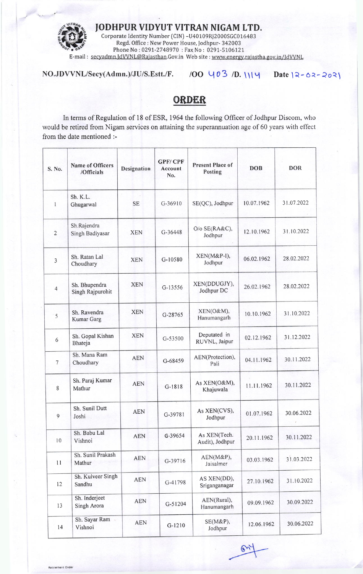

IODHPUR VIDYUT VITRAN NIGAM LTD.

E-mail : <u>secyadmn.JdVVNL@Rajasthan</u>.Gov.in Web site : <u>www.energy.rajastha.gov.in/JdVVNL</u> Corporate Identity Number (CIN) -U40109RJ2000SGC016483 Regd. Office : New Power House, Jodhpur- 342003 Phone No: 0291-2748970 : Fax No: 0291-5106121

 $NO.JDVVNL/Secy(Admn.)/JU/S.Estt./F.$  /OO  $U03$ /D. $UU4$  Date  $2-62-202$ 

## ORDER

In terms of Regulation of 18 of ESR, 1964 the following Officer of Jodhpur Discom, who would be retired from Nigam services on attaining the superannuation age of 60 years with effect from the date mentioned :-

| S. No.         | <b>Name of Officers</b><br>/Officials | <b>Designation</b> | <b>GPF/CPF</b><br>Account<br>No. | <b>Present Place of</b><br>Posting | <b>DOB</b> | <b>DOR</b> |
|----------------|---------------------------------------|--------------------|----------------------------------|------------------------------------|------------|------------|
| 1              | Sh. K.L.<br>Ghugarwal                 | <b>SE</b>          | G-36910                          | SE(QC), Jodhpur                    | 10.07.1962 | 31.07.2022 |
| $\overline{2}$ | Sh.Rajendra<br>Singh Badiyasar        | <b>XEN</b>         | G-36448                          | O/o SE(RA&C),<br>Jodhpur           | 12.10.1962 | 31.10.2022 |
| $\overline{3}$ | Sh. Ratan Lal<br>Choudhary            | <b>XEN</b>         | G-10580                          | XEN(M&P-I),<br>Jodhpur             | 06.02.1962 | 28.02.2022 |
| $\overline{4}$ | Sh. Bhupendra<br>Singh Rajpurohit     | <b>XEN</b>         | G-13556                          | XEN(DDUGJY),<br>Jodhpur DC         | 26.02.1962 | 28.02.2022 |
| 5              | Sh. Ravendra<br>Kumar Garg            | <b>XEN</b>         | G-28765                          | XEN(O&M),<br>Hanumangarh           | 10.10.1962 | 31.10.2022 |
| 6              | Sh. Gopal Kishan<br>Bhateja           | <b>XEN</b>         | G-53500                          | Deputated in<br>RUVNL, Jaipur      | 02.12.1962 | 31.12.2022 |
| $\overline{7}$ | Sh. Mana Ram<br>Choudhary             | <b>AEN</b>         | G-68459                          | AEN(Protection),<br>Pali           | 04.11.1962 | 30.11.2022 |
| 8              | Sh. Paraj Kumar<br>Mathur             | <b>AEN</b>         | $G-1818$                         | As XEN(O&M),<br>Khajuwala          | 11.11.1962 | 30.11.2022 |
| 9              | Sh. Sunil Dutt<br>Joshi               | AEN                | G-39781                          | As XEN(CVS),<br>Jodhpur            | 01.07.1962 | 30.06.2022 |
| 10             | Sh. Babu Lal<br>Vishnoi               | <b>AEN</b>         | G-39654                          | As XEN(Tech.<br>Audit), Jodhpur    | 20.11.1962 | 30.11.2022 |
| 11             | Sh. Sunil Prakash<br>Mathur           | <b>AEN</b>         | G-39716                          | AEN(M&P),<br>Jaisalmer             | 03.03.1962 | 31.03.2022 |
| 12             | Sh. Kulveer Singh<br>Sandhu           | <b>AEN</b>         | G-41798                          | AS XEN(DD),<br>Sriganganagar       | 27.10.1962 | 31.10.2022 |
| 13             | Sh. Inderjeet<br>Singh Arora          | <b>AEN</b>         | G-51204                          | AEN(Rural),<br>Hanumangarh         | 09.09.1962 | 30.09.2022 |
| 14             | Sh. Sayar Ram<br>Vishnoi              | <b>AEN</b>         | $G-1210$                         | $SE(M\&P),$<br>Jodhpur             | 12.06.1962 | 30.06.2022 |